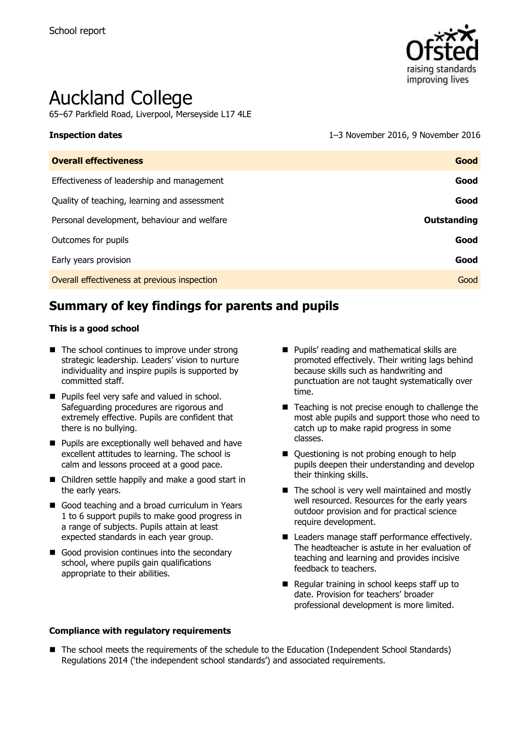

# Auckland College

65–67 Parkfield Road, Liverpool, Merseyside L17 4LE

**Inspection dates** 1–3 November 2016, 9 November 2016

| <b>Overall effectiveness</b>                 | Good               |
|----------------------------------------------|--------------------|
| Effectiveness of leadership and management   | Good               |
| Quality of teaching, learning and assessment | Good               |
| Personal development, behaviour and welfare  | <b>Outstanding</b> |
| Outcomes for pupils                          | Good               |
| Early years provision                        | Good               |
| Overall effectiveness at previous inspection | Good               |
|                                              |                    |

# **Summary of key findings for parents and pupils**

#### **This is a good school**

- $\blacksquare$  The school continues to improve under strong strategic leadership. Leaders' vision to nurture individuality and inspire pupils is supported by committed staff.
- **Pupils feel very safe and valued in school.** Safeguarding procedures are rigorous and extremely effective. Pupils are confident that there is no bullying.
- **Pupils are exceptionally well behaved and have** excellent attitudes to learning. The school is calm and lessons proceed at a good pace.
- Children settle happily and make a good start in the early years.
- Good teaching and a broad curriculum in Years 1 to 6 support pupils to make good progress in a range of subjects. Pupils attain at least expected standards in each year group.
- Good provision continues into the secondary school, where pupils gain qualifications appropriate to their abilities.
- **Pupils' reading and mathematical skills are** promoted effectively. Their writing lags behind because skills such as handwriting and punctuation are not taught systematically over time.
- Teaching is not precise enough to challenge the most able pupils and support those who need to catch up to make rapid progress in some classes.
- Questioning is not probing enough to help pupils deepen their understanding and develop their thinking skills.
- $\blacksquare$  The school is very well maintained and mostly well resourced. Resources for the early years outdoor provision and for practical science require development.
- Leaders manage staff performance effectively. The headteacher is astute in her evaluation of teaching and learning and provides incisive feedback to teachers.
- Regular training in school keeps staff up to date. Provision for teachers" broader professional development is more limited.
- **Compliance with regulatory requirements**
- The school meets the requirements of the schedule to the Education (Independent School Standards) Regulations 2014 ("the independent school standards") and associated requirements.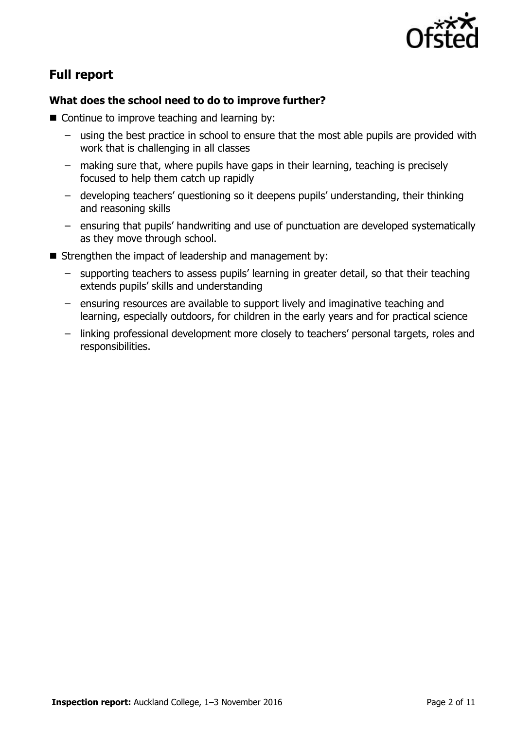

# **Full report**

#### **What does the school need to do to improve further?**

- Continue to improve teaching and learning by:
	- using the best practice in school to ensure that the most able pupils are provided with work that is challenging in all classes
	- making sure that, where pupils have gaps in their learning, teaching is precisely focused to help them catch up rapidly
	- developing teachers" questioning so it deepens pupils" understanding, their thinking and reasoning skills
	- ensuring that pupils" handwriting and use of punctuation are developed systematically as they move through school.
- $\blacksquare$  Strengthen the impact of leadership and management by:
	- supporting teachers to assess pupils" learning in greater detail, so that their teaching extends pupils" skills and understanding
	- ensuring resources are available to support lively and imaginative teaching and learning, especially outdoors, for children in the early years and for practical science
	- linking professional development more closely to teachers" personal targets, roles and responsibilities.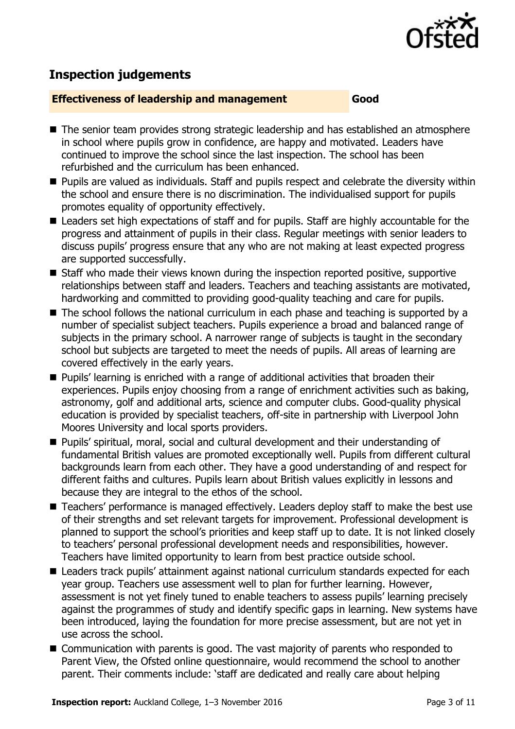

# **Inspection judgements**

#### **Effectiveness of leadership and management Good**

- The senior team provides strong strategic leadership and has established an atmosphere in school where pupils grow in confidence, are happy and motivated. Leaders have continued to improve the school since the last inspection. The school has been refurbished and the curriculum has been enhanced.
- **Pupils are valued as individuals. Staff and pupils respect and celebrate the diversity within** the school and ensure there is no discrimination. The individualised support for pupils promotes equality of opportunity effectively.
- Leaders set high expectations of staff and for pupils. Staff are highly accountable for the progress and attainment of pupils in their class. Regular meetings with senior leaders to discuss pupils" progress ensure that any who are not making at least expected progress are supported successfully.
- Staff who made their views known during the inspection reported positive, supportive relationships between staff and leaders. Teachers and teaching assistants are motivated, hardworking and committed to providing good-quality teaching and care for pupils.
- The school follows the national curriculum in each phase and teaching is supported by a number of specialist subject teachers. Pupils experience a broad and balanced range of subjects in the primary school. A narrower range of subjects is taught in the secondary school but subjects are targeted to meet the needs of pupils. All areas of learning are covered effectively in the early years.
- **Pupils'** learning is enriched with a range of additional activities that broaden their experiences. Pupils enjoy choosing from a range of enrichment activities such as baking, astronomy, golf and additional arts, science and computer clubs. Good-quality physical education is provided by specialist teachers, off-site in partnership with Liverpool John Moores University and local sports providers.
- Pupils' spiritual, moral, social and cultural development and their understanding of fundamental British values are promoted exceptionally well. Pupils from different cultural backgrounds learn from each other. They have a good understanding of and respect for different faiths and cultures. Pupils learn about British values explicitly in lessons and because they are integral to the ethos of the school.
- Teachers' performance is managed effectively. Leaders deploy staff to make the best use of their strengths and set relevant targets for improvement. Professional development is planned to support the school"s priorities and keep staff up to date. It is not linked closely to teachers" personal professional development needs and responsibilities, however. Teachers have limited opportunity to learn from best practice outside school.
- Leaders track pupils' attainment against national curriculum standards expected for each year group. Teachers use assessment well to plan for further learning. However, assessment is not yet finely tuned to enable teachers to assess pupils' learning precisely against the programmes of study and identify specific gaps in learning. New systems have been introduced, laying the foundation for more precise assessment, but are not yet in use across the school.
- Communication with parents is good. The vast majority of parents who responded to Parent View, the Ofsted online questionnaire, would recommend the school to another parent. Their comments include: "staff are dedicated and really care about helping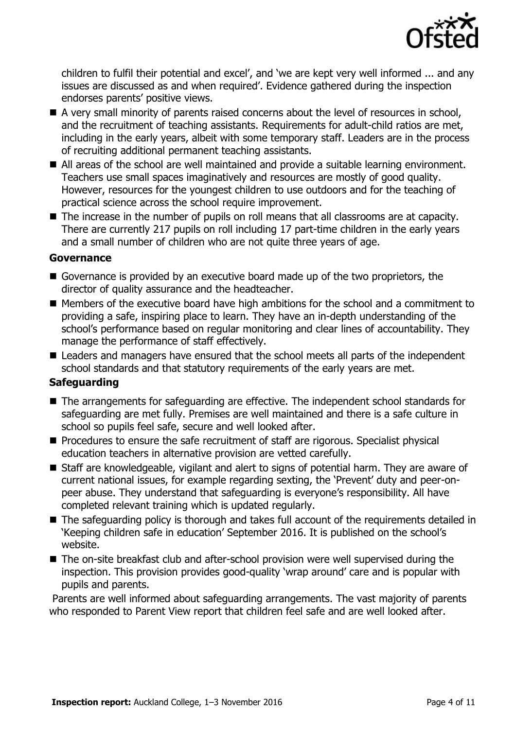

children to fulfil their potential and excel', and 'we are kept very well informed ... and any issues are discussed as and when required". Evidence gathered during the inspection endorses parents' positive views.

- A very small minority of parents raised concerns about the level of resources in school, and the recruitment of teaching assistants. Requirements for adult-child ratios are met, including in the early years, albeit with some temporary staff. Leaders are in the process of recruiting additional permanent teaching assistants.
- All areas of the school are well maintained and provide a suitable learning environment. Teachers use small spaces imaginatively and resources are mostly of good quality. However, resources for the youngest children to use outdoors and for the teaching of practical science across the school require improvement.
- The increase in the number of pupils on roll means that all classrooms are at capacity. There are currently 217 pupils on roll including 17 part-time children in the early years and a small number of children who are not quite three years of age.

#### **Governance**

- Governance is provided by an executive board made up of the two proprietors, the director of quality assurance and the headteacher.
- Members of the executive board have high ambitions for the school and a commitment to providing a safe, inspiring place to learn. They have an in-depth understanding of the school's performance based on regular monitoring and clear lines of accountability. They manage the performance of staff effectively.
- Leaders and managers have ensured that the school meets all parts of the independent school standards and that statutory requirements of the early years are met.

#### **Safeguarding**

- The arrangements for safeguarding are effective. The independent school standards for safeguarding are met fully. Premises are well maintained and there is a safe culture in school so pupils feel safe, secure and well looked after.
- **Procedures to ensure the safe recruitment of staff are rigorous. Specialist physical** education teachers in alternative provision are vetted carefully.
- Staff are knowledgeable, vigilant and alert to signs of potential harm. They are aware of current national issues, for example regarding sexting, the "Prevent" duty and peer-onpeer abuse. They understand that safeguarding is everyone's responsibility. All have completed relevant training which is updated regularly.
- The safeguarding policy is thorough and takes full account of the requirements detailed in "Keeping children safe in education" September 2016. It is published on the school"s website.
- The on-site breakfast club and after-school provision were well supervised during the inspection. This provision provides good-quality "wrap around" care and is popular with pupils and parents.

Parents are well informed about safeguarding arrangements. The vast majority of parents who responded to Parent View report that children feel safe and are well looked after.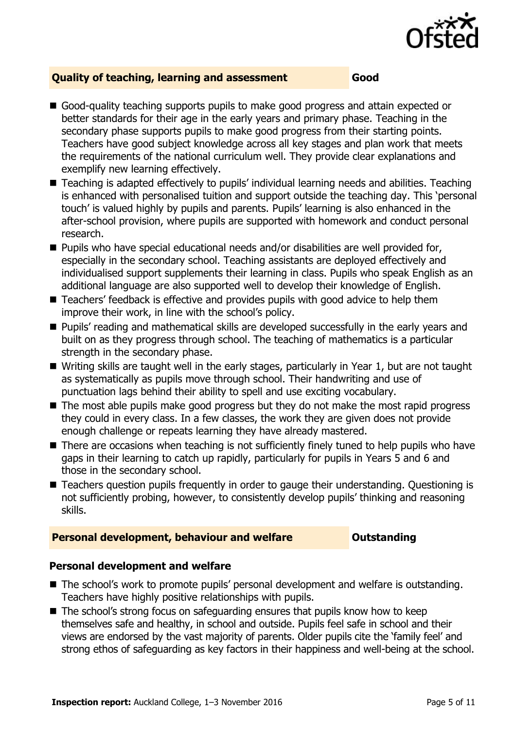

#### **Quality of teaching, learning and assessment Good**

- Good-quality teaching supports pupils to make good progress and attain expected or better standards for their age in the early years and primary phase. Teaching in the secondary phase supports pupils to make good progress from their starting points. Teachers have good subject knowledge across all key stages and plan work that meets the requirements of the national curriculum well. They provide clear explanations and exemplify new learning effectively.
- Teaching is adapted effectively to pupils' individual learning needs and abilities. Teaching is enhanced with personalised tuition and support outside the teaching day. This "personal touch" is valued highly by pupils and parents. Pupils" learning is also enhanced in the after-school provision, where pupils are supported with homework and conduct personal research.
- Pupils who have special educational needs and/or disabilities are well provided for, especially in the secondary school. Teaching assistants are deployed effectively and individualised support supplements their learning in class. Pupils who speak English as an additional language are also supported well to develop their knowledge of English.
- Teachers' feedback is effective and provides pupils with good advice to help them improve their work, in line with the school"s policy.
- **Pupils' reading and mathematical skills are developed successfully in the early years and** built on as they progress through school. The teaching of mathematics is a particular strength in the secondary phase.
- Writing skills are taught well in the early stages, particularly in Year 1, but are not taught as systematically as pupils move through school. Their handwriting and use of punctuation lags behind their ability to spell and use exciting vocabulary.
- The most able pupils make good progress but they do not make the most rapid progress they could in every class. In a few classes, the work they are given does not provide enough challenge or repeats learning they have already mastered.
- There are occasions when teaching is not sufficiently finely tuned to help pupils who have gaps in their learning to catch up rapidly, particularly for pupils in Years 5 and 6 and those in the secondary school.
- Teachers question pupils frequently in order to gauge their understanding. Questioning is not sufficiently probing, however, to consistently develop pupils' thinking and reasoning skills.

#### **Personal development, behaviour and welfare <b>COU COULDER COULDER COULDER COULDER**

#### **Personal development and welfare**

- The school's work to promote pupils' personal development and welfare is outstanding. Teachers have highly positive relationships with pupils.
- $\blacksquare$  The school's strong focus on safeguarding ensures that pupils know how to keep themselves safe and healthy, in school and outside. Pupils feel safe in school and their views are endorsed by the vast majority of parents. Older pupils cite the "family feel" and strong ethos of safeguarding as key factors in their happiness and well-being at the school.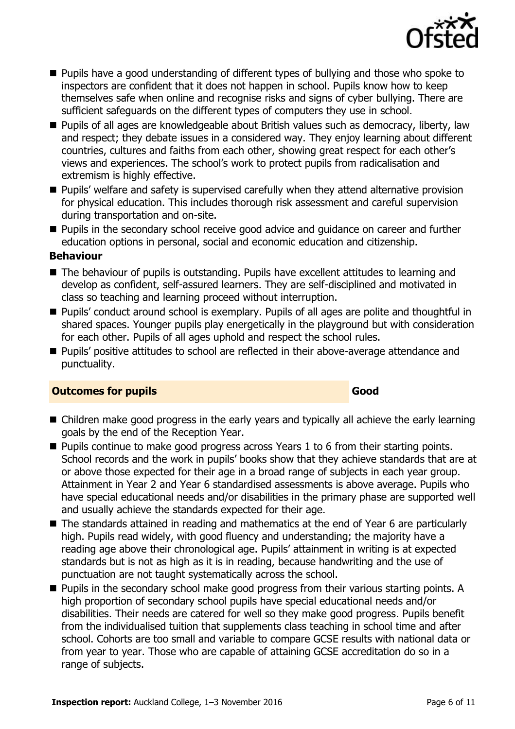

- **Pupils have a good understanding of different types of bullying and those who spoke to** inspectors are confident that it does not happen in school. Pupils know how to keep themselves safe when online and recognise risks and signs of cyber bullying. There are sufficient safeguards on the different types of computers they use in school.
- **Pupils of all ages are knowledgeable about British values such as democracy, liberty, law** and respect; they debate issues in a considered way. They enjoy learning about different countries, cultures and faiths from each other, showing great respect for each other"s views and experiences. The school"s work to protect pupils from radicalisation and extremism is highly effective.
- **Pupils' welfare and safety is supervised carefully when they attend alternative provision** for physical education. This includes thorough risk assessment and careful supervision during transportation and on-site.
- **Pupils in the secondary school receive good advice and guidance on career and further** education options in personal, social and economic education and citizenship.

#### **Behaviour**

- The behaviour of pupils is outstanding. Pupils have excellent attitudes to learning and develop as confident, self-assured learners. They are self-disciplined and motivated in class so teaching and learning proceed without interruption.
- Pupils' conduct around school is exemplary. Pupils of all ages are polite and thoughtful in shared spaces. Younger pupils play energetically in the playground but with consideration for each other. Pupils of all ages uphold and respect the school rules.
- **Pupils' positive attitudes to school are reflected in their above-average attendance and** punctuality.

### **Outcomes for pupils Good**

#### ■ Children make good progress in the early years and typically all achieve the early learning goals by the end of the Reception Year.

- **Pupils continue to make good progress across Years 1 to 6 from their starting points.** School records and the work in pupils' books show that they achieve standards that are at or above those expected for their age in a broad range of subjects in each year group. Attainment in Year 2 and Year 6 standardised assessments is above average. Pupils who have special educational needs and/or disabilities in the primary phase are supported well and usually achieve the standards expected for their age.
- The standards attained in reading and mathematics at the end of Year 6 are particularly high. Pupils read widely, with good fluency and understanding; the majority have a reading age above their chronological age. Pupils" attainment in writing is at expected standards but is not as high as it is in reading, because handwriting and the use of punctuation are not taught systematically across the school.
- **Pupils in the secondary school make good progress from their various starting points. A** high proportion of secondary school pupils have special educational needs and/or disabilities. Their needs are catered for well so they make good progress. Pupils benefit from the individualised tuition that supplements class teaching in school time and after school. Cohorts are too small and variable to compare GCSE results with national data or from year to year. Those who are capable of attaining GCSE accreditation do so in a range of subjects.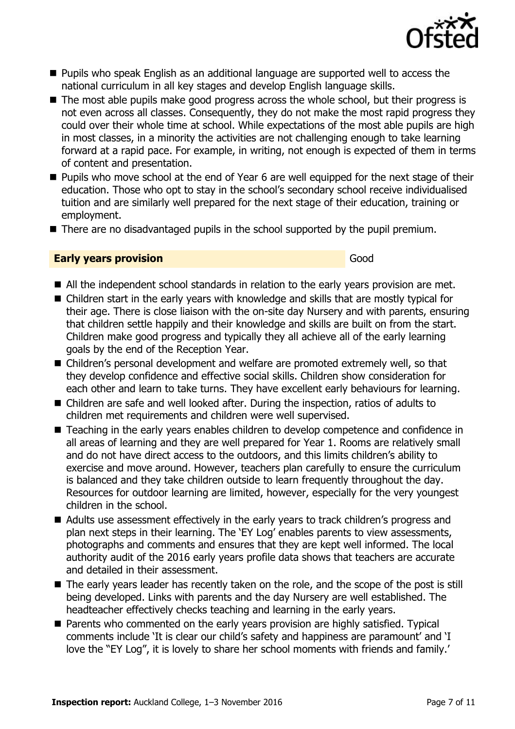

- **Pupils who speak English as an additional language are supported well to access the** national curriculum in all key stages and develop English language skills.
- The most able pupils make good progress across the whole school, but their progress is not even across all classes. Consequently, they do not make the most rapid progress they could over their whole time at school. While expectations of the most able pupils are high in most classes, in a minority the activities are not challenging enough to take learning forward at a rapid pace. For example, in writing, not enough is expected of them in terms of content and presentation.
- **Pupils who move school at the end of Year 6 are well equipped for the next stage of their** education. Those who opt to stay in the school"s secondary school receive individualised tuition and are similarly well prepared for the next stage of their education, training or employment.
- There are no disadvantaged pupils in the school supported by the pupil premium.

#### **Early years provision** Good Good

- All the independent school standards in relation to the early years provision are met.
- Children start in the early years with knowledge and skills that are mostly typical for their age. There is close liaison with the on-site day Nursery and with parents, ensuring that children settle happily and their knowledge and skills are built on from the start. Children make good progress and typically they all achieve all of the early learning goals by the end of the Reception Year.
- Children's personal development and welfare are promoted extremely well, so that they develop confidence and effective social skills. Children show consideration for each other and learn to take turns. They have excellent early behaviours for learning.
- Children are safe and well looked after. During the inspection, ratios of adults to children met requirements and children were well supervised.
- Teaching in the early years enables children to develop competence and confidence in all areas of learning and they are well prepared for Year 1. Rooms are relatively small and do not have direct access to the outdoors, and this limits children's ability to exercise and move around. However, teachers plan carefully to ensure the curriculum is balanced and they take children outside to learn frequently throughout the day. Resources for outdoor learning are limited, however, especially for the very youngest children in the school.
- Adults use assessment effectively in the early years to track children's progress and plan next steps in their learning. The 'EY Log' enables parents to view assessments, photographs and comments and ensures that they are kept well informed. The local authority audit of the 2016 early years profile data shows that teachers are accurate and detailed in their assessment.
- The early years leader has recently taken on the role, and the scope of the post is still being developed. Links with parents and the day Nursery are well established. The headteacher effectively checks teaching and learning in the early years.
- Parents who commented on the early years provision are highly satisfied. Typical comments include "It is clear our child"s safety and happiness are paramount" and "I love the "EY Log", it is lovely to share her school moments with friends and family.'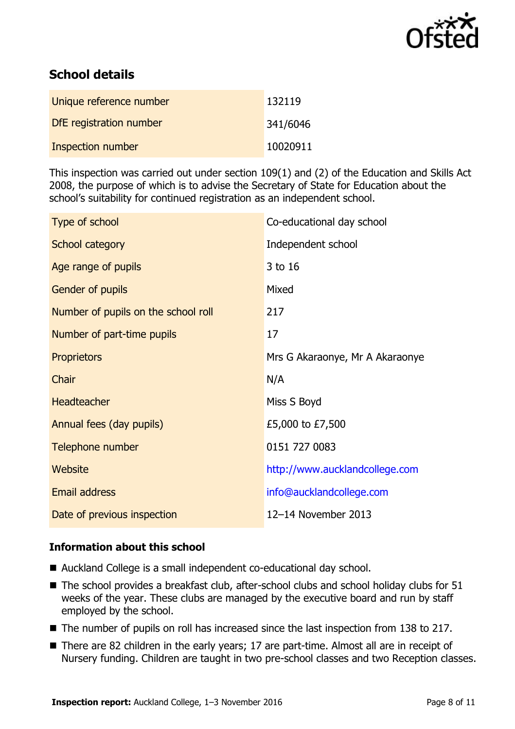

# **School details**

| Unique reference number | 132119   |
|-------------------------|----------|
| DfE registration number | 341/6046 |
| Inspection number       | 10020911 |

This inspection was carried out under section 109(1) and (2) of the Education and Skills Act 2008, the purpose of which is to advise the Secretary of State for Education about the school"s suitability for continued registration as an independent school.

| Type of school                      | Co-educational day school       |
|-------------------------------------|---------------------------------|
| School category                     | Independent school              |
| Age range of pupils                 | 3 to 16                         |
| Gender of pupils                    | Mixed                           |
| Number of pupils on the school roll | 217                             |
| Number of part-time pupils          | 17                              |
| <b>Proprietors</b>                  | Mrs G Akaraonye, Mr A Akaraonye |
| Chair                               | N/A                             |
| Headteacher                         | Miss S Boyd                     |
| Annual fees (day pupils)            | £5,000 to £7,500                |
| Telephone number                    | 0151 727 0083                   |
| Website                             | http://www.aucklandcollege.com  |
| Email address                       | info@aucklandcollege.com        |
| Date of previous inspection         | 12-14 November 2013             |

#### **Information about this school**

- Auckland College is a small independent co-educational day school.
- The school provides a breakfast club, after-school clubs and school holiday clubs for 51 weeks of the year. These clubs are managed by the executive board and run by staff employed by the school.
- The number of pupils on roll has increased since the last inspection from 138 to 217.
- There are 82 children in the early years; 17 are part-time. Almost all are in receipt of Nursery funding. Children are taught in two pre-school classes and two Reception classes.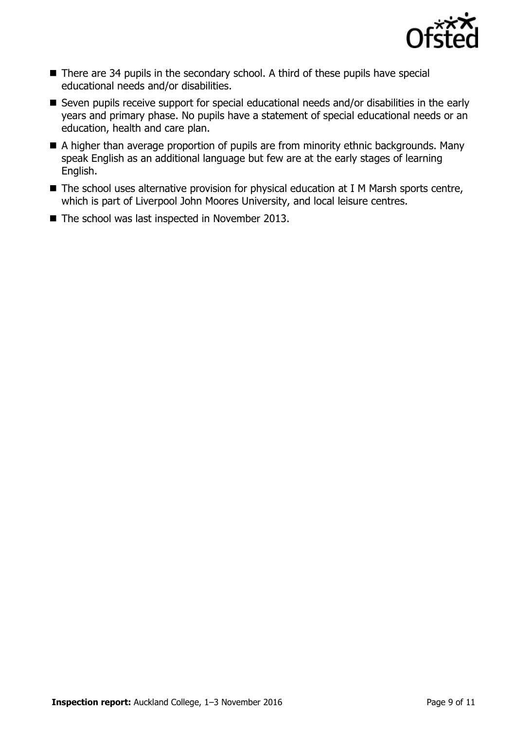

- There are 34 pupils in the secondary school. A third of these pupils have special educational needs and/or disabilities.
- Seven pupils receive support for special educational needs and/or disabilities in the early years and primary phase. No pupils have a statement of special educational needs or an education, health and care plan.
- A higher than average proportion of pupils are from minority ethnic backgrounds. Many speak English as an additional language but few are at the early stages of learning English.
- The school uses alternative provision for physical education at I M Marsh sports centre, which is part of Liverpool John Moores University, and local leisure centres.
- The school was last inspected in November 2013.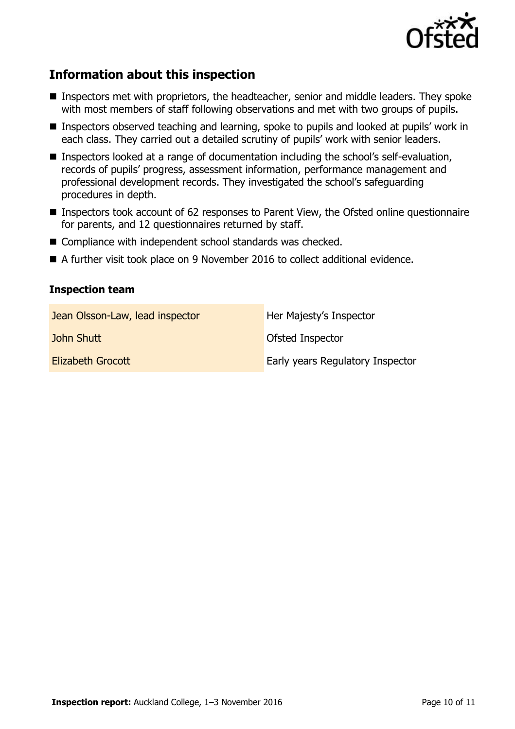

## **Information about this inspection**

- Inspectors met with proprietors, the headteacher, senior and middle leaders. They spoke with most members of staff following observations and met with two groups of pupils.
- **Inspectors observed teaching and learning, spoke to pupils and looked at pupils' work in** each class. They carried out a detailed scrutiny of pupils" work with senior leaders.
- Inspectors looked at a range of documentation including the school's self-evaluation, records of pupils" progress, assessment information, performance management and professional development records. They investigated the school"s safeguarding procedures in depth.
- Inspectors took account of 62 responses to Parent View, the Ofsted online questionnaire for parents, and 12 questionnaires returned by staff.
- Compliance with independent school standards was checked.
- A further visit took place on 9 November 2016 to collect additional evidence.

#### **Inspection team**

| Jean Olsson-Law, lead inspector | Her Majesty's Inspector          |
|---------------------------------|----------------------------------|
| John Shutt                      | Ofsted Inspector                 |
| <b>Elizabeth Grocott</b>        | Early years Regulatory Inspector |